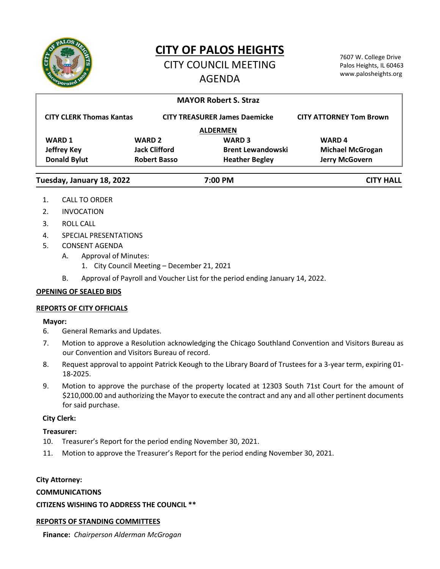

# **CITY OF PALOS HEIGHTS**

## CITY COUNCIL MEETING AGENDA

7607 W. College Drive Palos Heights, IL 60463 www.palosheights.org

## **MAYOR Robert S. Straz**

| <b>CITY CLERK Thomas Kantas</b> | <b>CITY TREASURER James Daemicke</b> |                          | <b>CITY ATTORNEY Tom Brown</b> |
|---------------------------------|--------------------------------------|--------------------------|--------------------------------|
| <b>ALDERMEN</b>                 |                                      |                          |                                |
| <b>WARD 1</b>                   | <b>WARD 2</b>                        | <b>WARD 3</b>            | <b>WARD4</b>                   |
| <b>Jeffrey Key</b>              | <b>Jack Clifford</b>                 | <b>Brent Lewandowski</b> | <b>Michael McGrogan</b>        |
| <b>Donald Bylut</b>             | <b>Robert Basso</b>                  | <b>Heather Begley</b>    | <b>Jerry McGovern</b>          |
|                                 |                                      |                          |                                |

#### **Tuesday, January 18, 2022 7:00 PM CITY HALL**

- 1. CALL TO ORDER
- 2. INVOCATION
- 3. ROLL CALL
- 4. SPECIAL PRESENTATIONS
- 5. CONSENT AGENDA
	- A. Approval of Minutes:
		- 1. City Council Meeting December 21, 2021
	- B. Approval of Payroll and Voucher List for the period ending January 14, 2022.

## **OPENING OF SEALED BIDS**

## **REPORTS OF CITY OFFICIALS**

#### **Mayor:**

- 6. General Remarks and Updates.
- 7. Motion to approve a Resolution acknowledging the Chicago Southland Convention and Visitors Bureau as our Convention and Visitors Bureau of record.
- 8. Request approval to appoint Patrick Keough to the Library Board of Trustees for a 3-year term, expiring 01- 18-2025.
- 9. Motion to approve the purchase of the property located at 12303 South 71st Court for the amount of \$210,000.00 and authorizing the Mayor to execute the contract and any and all other pertinent documents for said purchase.

## **City Clerk:**

## **Treasurer:**

- 10. Treasurer's Report for the period ending November 30, 2021.
- 11. Motion to approve the Treasurer's Report for the period ending November 30, 2021.

## **City Attorney:**

## **COMMUNICATIONS**

**CITIZENS WISHING TO ADDRESS THE COUNCIL \*\***

## **REPORTS OF STANDING COMMITTEES**

**Finance:** *Chairperson Alderman McGrogan*